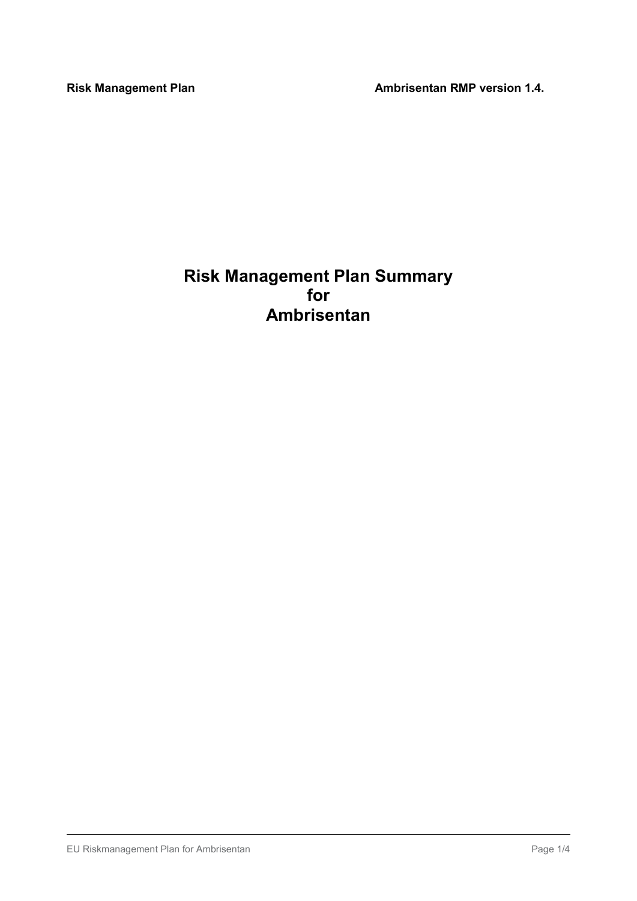Risk Management Plan Ambrisentan RMP version 1.4.

# Risk Management Plan Summary for Ambrisentan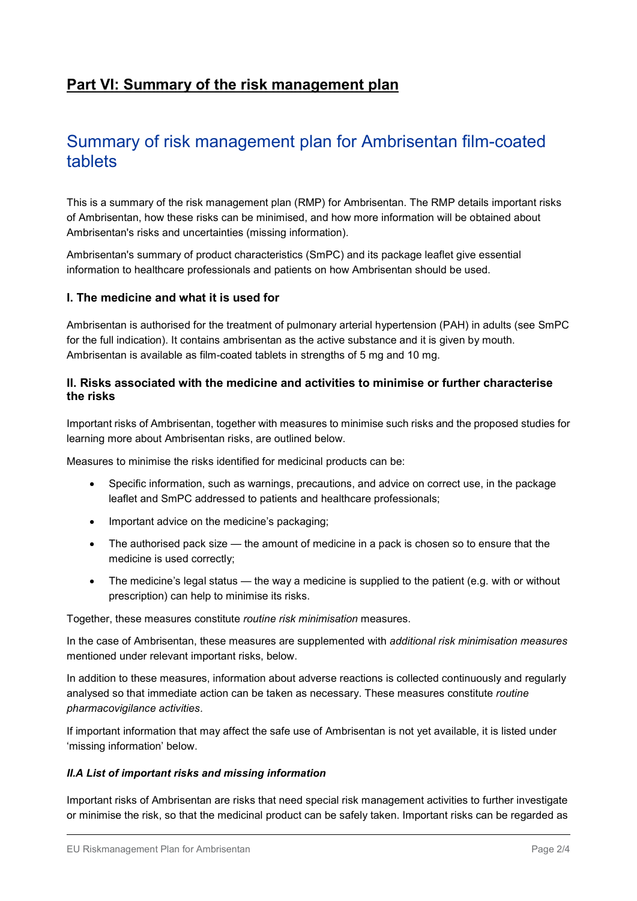# Part VI: Summary of the risk management plan

# Summary of risk management plan for Ambrisentan film-coated tablets

This is a summary of the risk management plan (RMP) for Ambrisentan. The RMP details important risks of Ambrisentan, how these risks can be minimised, and how more information will be obtained about Ambrisentan's risks and uncertainties (missing information).

Ambrisentan's summary of product characteristics (SmPC) and its package leaflet give essential information to healthcare professionals and patients on how Ambrisentan should be used.

## I. The medicine and what it is used for

Ambrisentan is authorised for the treatment of pulmonary arterial hypertension (PAH) in adults (see SmPC for the full indication). It contains ambrisentan as the active substance and it is given by mouth. Ambrisentan is available as film-coated tablets in strengths of 5 mg and 10 mg.

## II. Risks associated with the medicine and activities to minimise or further characterise the risks

Important risks of Ambrisentan, together with measures to minimise such risks and the proposed studies for learning more about Ambrisentan risks, are outlined below.

Measures to minimise the risks identified for medicinal products can be:

- Specific information, such as warnings, precautions, and advice on correct use, in the package leaflet and SmPC addressed to patients and healthcare professionals;
- Important advice on the medicine's packaging;
- The authorised pack size the amount of medicine in a pack is chosen so to ensure that the medicine is used correctly;
- $\bullet$  The medicine's legal status the way a medicine is supplied to the patient (e.g. with or without prescription) can help to minimise its risks.

Together, these measures constitute routine risk minimisation measures.

In the case of Ambrisentan, these measures are supplemented with additional risk minimisation measures mentioned under relevant important risks, below.

In addition to these measures, information about adverse reactions is collected continuously and regularly analysed so that immediate action can be taken as necessary. These measures constitute routine pharmacovigilance activities.

If important information that may affect the safe use of Ambrisentan is not yet available, it is listed under 'missing information' below.

#### II.A List of important risks and missing information

Important risks of Ambrisentan are risks that need special risk management activities to further investigate or minimise the risk, so that the medicinal product can be safely taken. Important risks can be regarded as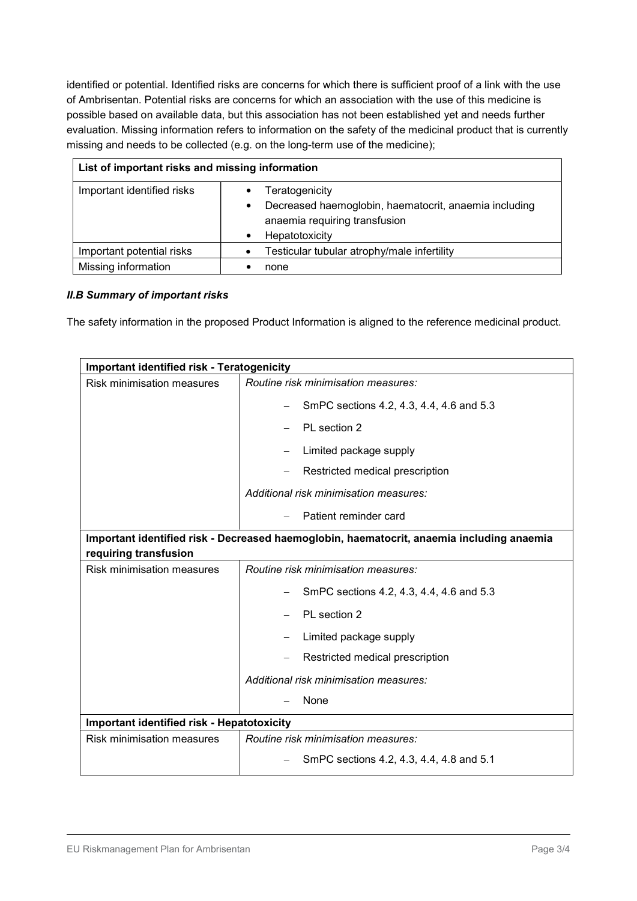identified or potential. Identified risks are concerns for which there is sufficient proof of a link with the use of Ambrisentan. Potential risks are concerns for which an association with the use of this medicine is possible based on available data, but this association has not been established yet and needs further evaluation. Missing information refers to information on the safety of the medicinal product that is currently missing and needs to be collected (e.g. on the long-term use of the medicine);

| List of important risks and missing information |                                                                                                                            |  |
|-------------------------------------------------|----------------------------------------------------------------------------------------------------------------------------|--|
| Important identified risks                      | Teratogenicity<br>Decreased haemoglobin, haematocrit, anaemia including<br>anaemia requiring transfusion<br>Hepatotoxicity |  |
| Important potential risks                       | Testicular tubular atrophy/male infertility                                                                                |  |
| Missing information                             | none                                                                                                                       |  |

### II.B Summary of important risks

The safety information in the proposed Product Information is aligned to the reference medicinal product.

| <b>Important identified risk - Teratogenicity</b>                                         |                                          |  |
|-------------------------------------------------------------------------------------------|------------------------------------------|--|
| <b>Risk minimisation measures</b>                                                         | Routine risk minimisation measures:      |  |
|                                                                                           | SmPC sections 4.2, 4.3, 4.4, 4.6 and 5.3 |  |
|                                                                                           | PL section 2                             |  |
|                                                                                           | Limited package supply                   |  |
|                                                                                           | Restricted medical prescription          |  |
|                                                                                           | Additional risk minimisation measures:   |  |
|                                                                                           | Patient reminder card                    |  |
| Important identified risk - Decreased haemoglobin, haematocrit, anaemia including anaemia |                                          |  |
| requiring transfusion                                                                     |                                          |  |
| Risk minimisation measures                                                                | Routine risk minimisation measures:      |  |
|                                                                                           | SmPC sections 4.2, 4.3, 4.4, 4.6 and 5.3 |  |
|                                                                                           | PL section 2                             |  |
|                                                                                           | Limited package supply                   |  |
|                                                                                           | Restricted medical prescription          |  |
|                                                                                           | Additional risk minimisation measures:   |  |
|                                                                                           | None                                     |  |
| <b>Important identified risk - Hepatotoxicity</b>                                         |                                          |  |
| <b>Risk minimisation measures</b>                                                         | Routine risk minimisation measures:      |  |
|                                                                                           | SmPC sections 4.2, 4.3, 4.4, 4.8 and 5.1 |  |